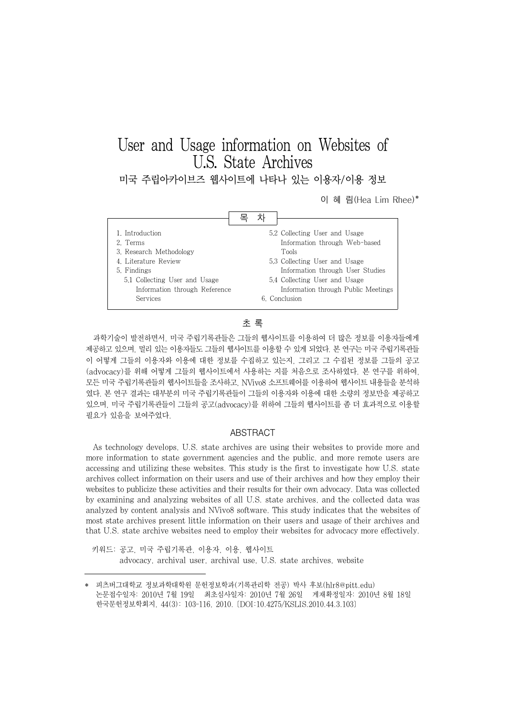# User and Usage information on Websites of U.S. State Archives

미국 주립아카이브즈 웹사이트에 나타나 있는 이용자/이용 정보

이 혜 림(Hea Lim Rhee)\*



## 초 록

과학기술이 발전하면서, 미국 주립기록관들은 그들의 웹사이트를 이용하여 더 많은 정보를 이용자들에게 제공하고 있으며, 멀리 있는 이용자들도 그들의 웹사이트를 이용할 수 있게 되었다. 본 연구는 미국 주립기록관들 이 어떻게 그들의 이용자와 이용에 대한 정보를 수집하고 있는지, 그리고 그 수집된 정보를 그들의 공고 (advocacy)를 위해 어떻게 그들의 웹사이트에서 사용하는 지를 처음으로 조사하였다. 본 연구를 위하여, 모든 미국 주립기록관들의 웹사이트들을 조사하고, NVivo8 소프트웨어를 이용하여 웹사이트 내용들을 분석하 였다. 본 연구 결과는 대부분의 미국 주립기록관들이 그들의 이용자와 이용에 대한 소량의 정보만을 제공하고 있으며, 미국 주립기록관들이 그들의 공고(advocacy)를 위하여 그들의 웹사이트를 좀 더 효과적으로 이용할 필요가 있음을 보여주었다.

### ABSTRACT

As technology develops, U.S. state archives are using their websites to provide more and more information to state government agencies and the public, and more remote users are accessing and utilizing these websites. This study is the first to investigate how U.S. state archives collect information on their users and use of their archives and how they employ their websites to publicize these activities and their results for their own advocacy. Data was collected by examining and analyzing websites of all U.S. state archives, and the collected data was analyzed by content analysis and NVivo8 software. This study indicates that the websites of most state archives present little information on their users and usage of their archives and that U.S. state archive websites need to employ their websites for advocacy more effectively.

키워드: 공고, 미국 주립기록관, 이용자, 이용, 웹사이트 advocacy, archival user, archival use, U.S. state archives, website

<sup>\*</sup> 피츠버그대학교 정보과학대학원 문헌정보학과(기록관리학 전공) 박사 후보(hlr8@pitt.edu) 논문접수일자: 2010년 7월 19일 최초심사일자: 2010년 7월 26일 게재확정일자: 2010년 8월 18일 한국문헌정보학회지, 44(3): 103-116, 2010. [DOI:10.4275/KSLIS.2010.44.3.103]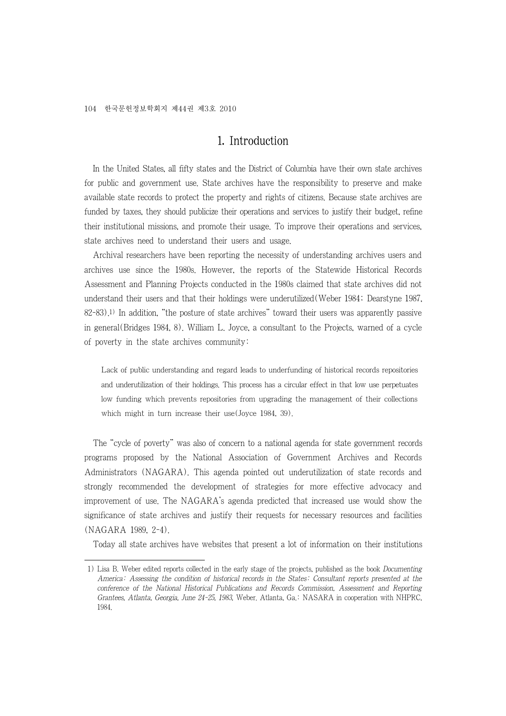## 1. Introduction

In the United States, all fifty states and the District of Columbia have their own state archives for public and government use. State archives have the responsibility to preserve and make available state records to protect the property and rights of citizens. Because state archives are funded by taxes, they should publicize their operations and services to justify their budget, refine their institutional missions, and promote their usage. To improve their operations and services, state archives need to understand their users and usage.

Archival researchers have been reporting the necessity of understanding archives users and archives use since the 1980s. However, the reports of the Statewide Historical Records Assessment and Planning Projects conducted in the 1980s claimed that state archives did not understand their users and that their holdings were underutilized(Weber 1984; Dearstyne 1987, 82-83).1) In addition, "the posture of state archives" toward their users was apparently passive in general(Bridges 1984, 8). William L. Joyce, a consultant to the Projects, warned of a cycle of poverty in the state archives community:

Lack of public understanding and regard leads to underfunding of historical records repositories and underutilization of their holdings. This process has a circular effect in that low use perpetuates low funding which prevents repositories from upgrading the management of their collections which might in turn increase their use(Joyce 1984, 39).

The "cycle of poverty" was also of concern to a national agenda for state government records programs proposed by the National Association of Government Archives and Records Administrators (NAGARA). This agenda pointed out underutilization of state records and strongly recommended the development of strategies for more effective advocacy and improvement of use. The NAGARA's agenda predicted that increased use would show the significance of state archives and justify their requests for necessary resources and facilities (NAGARA 1989, 2-4).

Today all state archives have websites that present a lot of information on their institutions

 <sup>1)</sup> Lisa B. Weber edited reports collected in the early stage of the projects, published as the book Documenting America: Assessing the condition of historical records in the States: Consultant reports presented at the conference of the National Historical Publications and Records Commission, Assessment and Reporting Grantees, Atlanta, Georgia, June 24-25, 1983, Weber. Atlanta, Ga.: NASARA in cooperation with NHPRC, 1984.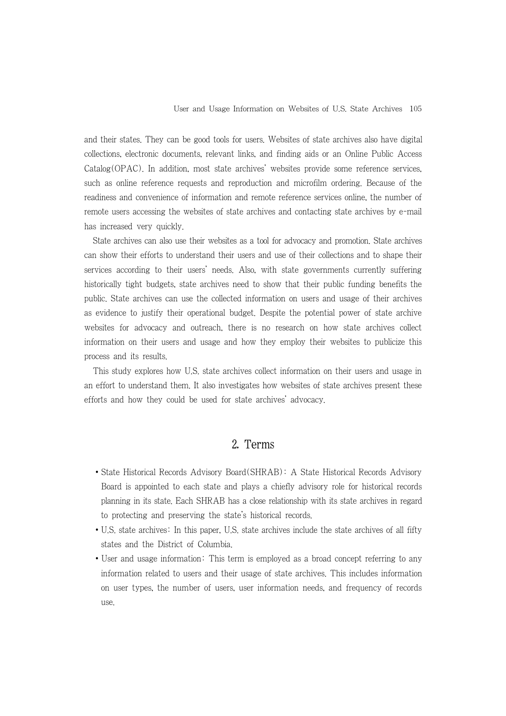and their states. They can be good tools for users. Websites of state archives also have digital collections, electronic documents, relevant links, and finding aids or an Online Public Access Catalog(OPAC). In addition, most state archives' websites provide some reference services, such as online reference requests and reproduction and microfilm ordering. Because of the readiness and convenience of information and remote reference services online, the number of remote users accessing the websites of state archives and contacting state archives by e-mail has increased very quickly.

State archives can also use their websites as a tool for advocacy and promotion. State archives can show their efforts to understand their users and use of their collections and to shape their services according to their users' needs. Also, with state governments currently suffering historically tight budgets, state archives need to show that their public funding benefits the public. State archives can use the collected information on users and usage of their archives as evidence to justify their operational budget. Despite the potential power of state archive websites for advocacy and outreach, there is no research on how state archives collect information on their users and usage and how they employ their websites to publicize this process and its results.

This study explores how U.S. state archives collect information on their users and usage in an effort to understand them. It also investigates how websites of state archives present these efforts and how they could be used for state archives' advocacy.

## 2. Terms

- ∙State Historical Records Advisory Board(SHRAB): A State Historical Records Advisory Board is appointed to each state and plays a chiefly advisory role for historical records planning in its state. Each SHRAB has a close relationship with its state archives in regard to protecting and preserving the state's historical records.
- ∙U.S. state archives: In this paper, U.S. state archives include the state archives of all fifty states and the District of Columbia.
- ∙User and usage information: This term is employed as a broad concept referring to any information related to users and their usage of state archives. This includes information on user types, the number of users, user information needs, and frequency of records use.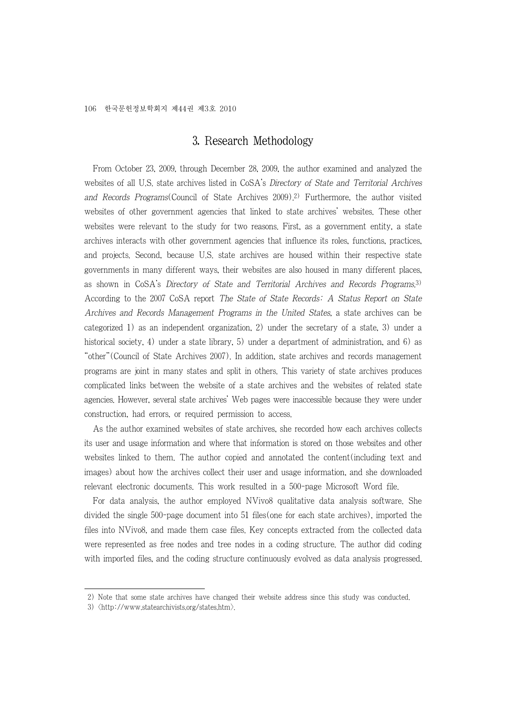## 3. Research Methodology

From October 23, 2009, through December 28, 2009, the author examined and analyzed the websites of all U.S. state archives listed in CoSA's Directory of State and Territorial Archives and Records Programs(Council of State Archives 2009).2) Furthermore, the author visited websites of other government agencies that linked to state archives' websites. These other websites were relevant to the study for two reasons. First, as a government entity, a state archives interacts with other government agencies that influence its roles, functions, practices, and projects. Second, because U.S. state archives are housed within their respective state governments in many different ways, their websites are also housed in many different places, as shown in CoSA's Directory of State and Territorial Archives and Records Programs.3) According to the 2007 CoSA report The State of State Records: A Status Report on State Archives and Records Management Programs in the United States, a state archives can be categorized 1) as an independent organization, 2) under the secretary of a state, 3) under a historical society, 4) under a state library, 5) under a department of administration, and 6) as "other"(Council of State Archives 2007). In addition, state archives and records management programs are joint in many states and split in others. This variety of state archives produces complicated links between the website of a state archives and the websites of related state agencies. However, several state archives' Web pages were inaccessible because they were under construction, had errors, or required permission to access.

As the author examined websites of state archives, she recorded how each archives collects its user and usage information and where that information is stored on those websites and other websites linked to them. The author copied and annotated the content(including text and images) about how the archives collect their user and usage information, and she downloaded relevant electronic documents. This work resulted in a 500-page Microsoft Word file.

For data analysis, the author employed NVivo8 qualitative data analysis software. She divided the single 500-page document into 51 files(one for each state archives), imported the files into NVivo8, and made them case files. Key concepts extracted from the collected data were represented as free nodes and tree nodes in a coding structure. The author did coding with imported files, and the coding structure continuously evolved as data analysis progressed.

 <sup>2)</sup> Note that some state archives have changed their website address since this study was conducted.

 <sup>3) &</sup>lt;http://www.statearchivists.org/states.htm>.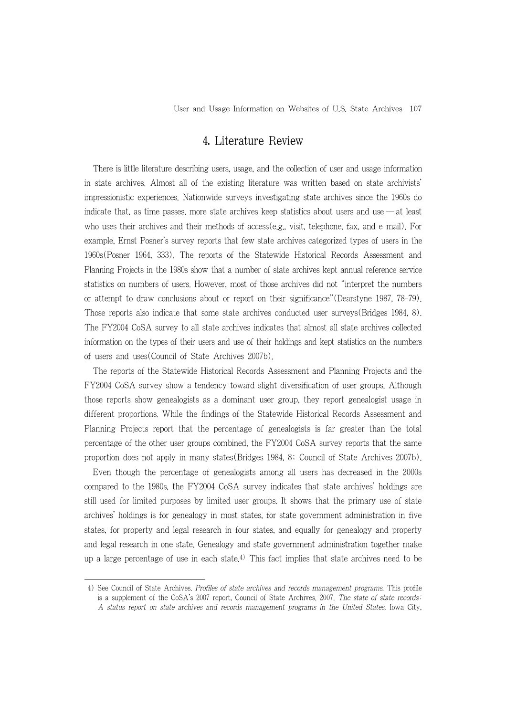User and Usage Information on Websites of U.S. State Archives 107

## 4. Literature Review

There is little literature describing users, usage, and the collection of user and usage information in state archives. Almost all of the existing literature was written based on state archivists' impressionistic experiences. Nationwide surveys investigating state archives since the 1960s do indicate that, as time passes, more state archives keep statistics about users and use ― at least who uses their archives and their methods of access(e.g., visit, telephone, fax, and e-mail). For example, Ernst Posner's survey reports that few state archives categorized types of users in the 1960s(Posner 1964, 333). The reports of the Statewide Historical Records Assessment and Planning Projects in the 1980s show that a number of state archives kept annual reference service statistics on numbers of users. However, most of those archives did not "interpret the numbers or attempt to draw conclusions about or report on their significance"(Dearstyne 1987, 78-79). Those reports also indicate that some state archives conducted user surveys(Bridges 1984, 8). The FY2004 CoSA survey to all state archives indicates that almost all state archives collected information on the types of their users and use of their holdings and kept statistics on the numbers of users and uses(Council of State Archives 2007b).

The reports of the Statewide Historical Records Assessment and Planning Projects and the FY2004 CoSA survey show a tendency toward slight diversification of user groups. Although those reports show genealogists as a dominant user group, they report genealogist usage in different proportions. While the findings of the Statewide Historical Records Assessment and Planning Projects report that the percentage of genealogists is far greater than the total percentage of the other user groups combined, the FY2004 CoSA survey reports that the same proportion does not apply in many states(Bridges 1984, 8; Council of State Archives 2007b).

Even though the percentage of genealogists among all users has decreased in the 2000s compared to the 1980s, the FY2004 CoSA survey indicates that state archives' holdings are still used for limited purposes by limited user groups. It shows that the primary use of state archives' holdings is for genealogy in most states, for state government administration in five states, for property and legal research in four states, and equally for genealogy and property and legal research in one state. Genealogy and state government administration together make up a large percentage of use in each state.<sup>4)</sup> This fact implies that state archives need to be

 <sup>4)</sup> See Council of State Archives. Profiles of state archives and records management programs. This profile is a supplement of the CoSA's 2007 report, Council of State Archives, 2007. The state of state records: A status report on state archives and records management programs in the United States, Iowa City,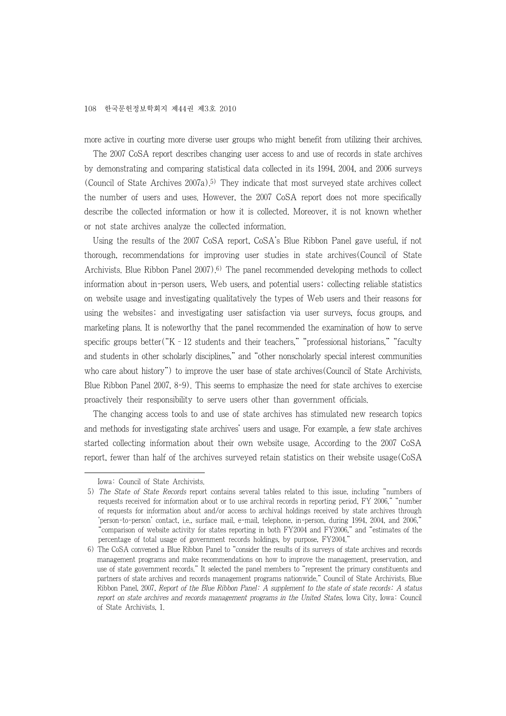more active in courting more diverse user groups who might benefit from utilizing their archives.

The 2007 CoSA report describes changing user access to and use of records in state archives by demonstrating and comparing statistical data collected in its 1994, 2004, and 2006 surveys (Council of State Archives  $2007a$ ).<sup>5)</sup> They indicate that most surveyed state archives collect the number of users and uses. However, the 2007 CoSA report does not more specifically describe the collected information or how it is collected. Moreover, it is not known whether or not state archives analyze the collected information.

Using the results of the 2007 CoSA report, CoSA's Blue Ribbon Panel gave useful, if not thorough, recommendations for improving user studies in state archives(Council of State Archivists. Blue Ribbon Panel 2007).6) The panel recommended developing methods to collect information about in-person users, Web users, and potential users; collecting reliable statistics on website usage and investigating qualitatively the types of Web users and their reasons for using the websites; and investigating user satisfaction via user surveys, focus groups, and marketing plans. It is noteworthy that the panel recommended the examination of how to serve specific groups better(" $K - 12$  students and their teachers," "professional historians," "faculty and students in other scholarly disciplines," and "other nonscholarly special interest communities who care about history") to improve the user base of state archives(Council of State Archivists. Blue Ribbon Panel 2007, 8-9). This seems to emphasize the need for state archives to exercise proactively their responsibility to serve users other than government officials.

The changing access tools to and use of state archives has stimulated new research topics and methods for investigating state archives' users and usage. For example, a few state archives started collecting information about their own website usage. According to the 2007 CoSA report, fewer than half of the archives surveyed retain statistics on their website usage(CoSA

Iowa: Council of State Archivists.

 <sup>5)</sup> The State of State Records report contains several tables related to this issue, including "numbers of requests received for information about or to use archival records in reporting period, FY 2006," "number of requests for information about and/or access to archival holdings received by state archives through 'person-to-person' contact, i.e., surface mail, e-mail, telephone, in-person, during 1994, 2004, and 2006," "comparison of website activity for states reporting in both FY2004 and FY2006," and "estimates of the percentage of total usage of government records holdings, by purpose, FY2004."

 <sup>6)</sup> The CoSA convened a Blue Ribbon Panel to "consider the results of its surveys of state archives and records management programs and make recommendations on how to improve the management, preservation, and use of state government records." It selected the panel members to "represent the primary constituents and partners of state archives and records management programs nationwide." Council of State Archivists. Blue Ribbon Panel, 2007, Report of the Blue Ribbon Panel: A supplement to the state of state records; A status report on state archives and records management programs in the United States, Iowa City, Iowa: Council of State Archivists, 1.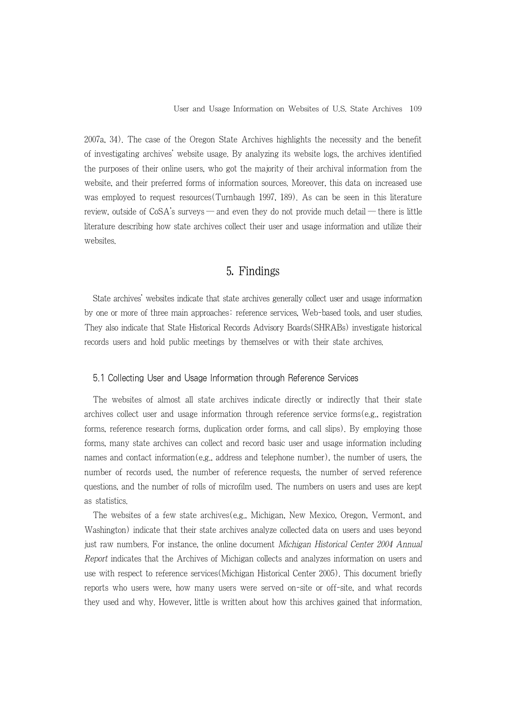2007a, 34). The case of the Oregon State Archives highlights the necessity and the benefit of investigating archives' website usage. By analyzing its website logs, the archives identified the purposes of their online users, who got the majority of their archival information from the website, and their preferred forms of information sources. Moreover, this data on increased use was employed to request resources(Turnbaugh 1997, 189). As can be seen in this literature review, outside of  $\cos A$ 's surveys — and even they do not provide much detail — there is little literature describing how state archives collect their user and usage information and utilize their websites.

## 5. Findings

State archives' websites indicate that state archives generally collect user and usage information by one or more of three main approaches: reference services, Web-based tools, and user studies. They also indicate that State Historical Records Advisory Boards(SHRABs) investigate historical records users and hold public meetings by themselves or with their state archives.

#### 5.1 Collecting User and Usage Information through Reference Services

The websites of almost all state archives indicate directly or indirectly that their state archives collect user and usage information through reference service forms(e.g., registration forms, reference research forms, duplication order forms, and call slips). By employing those forms, many state archives can collect and record basic user and usage information including names and contact information(e.g., address and telephone number), the number of users, the number of records used, the number of reference requests, the number of served reference questions, and the number of rolls of microfilm used. The numbers on users and uses are kept as statistics.

The websites of a few state archives(e.g., Michigan, New Mexico, Oregon, Vermont, and Washington) indicate that their state archives analyze collected data on users and uses beyond just raw numbers. For instance, the online document Michigan Historical Center 2004 Annual Report indicates that the Archives of Michigan collects and analyzes information on users and use with respect to reference services(Michigan Historical Center 2005). This document briefly reports who users were, how many users were served on-site or off-site, and what records they used and why. However, little is written about how this archives gained that information.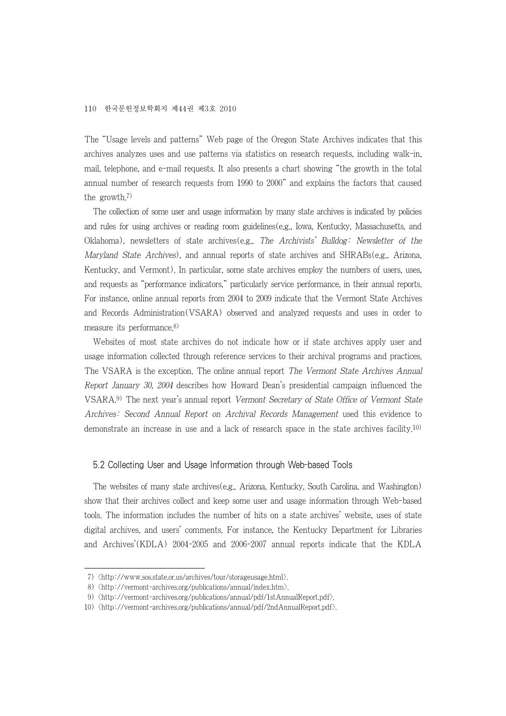The "Usage levels and patterns" Web page of the Oregon State Archives indicates that this archives analyzes uses and use patterns via statistics on research requests, including walk-in, mail, telephone, and e-mail requests. It also presents a chart showing "the growth in the total annual number of research requests from 1990 to 2000" and explains the factors that caused the growth.7)

The collection of some user and usage information by many state archives is indicated by policies and rules for using archives or reading room guidelines(e.g., Iowa, Kentucky, Massachusetts, and Oklahoma), newsletters of state archives(e.g., The Archivists' Bulldog: Newsletter of the Maryland State Archives), and annual reports of state archives and SHRABs(e.g., Arizona, Kentucky, and Vermont). In particular, some state archives employ the numbers of users, uses, and requests as "performance indicators," particularly service performance, in their annual reports. For instance, online annual reports from 2004 to 2009 indicate that the Vermont State Archives and Records Administration(VSARA) observed and analyzed requests and uses in order to measure its performance.8)

Websites of most state archives do not indicate how or if state archives apply user and usage information collected through reference services to their archival programs and practices. The VSARA is the exception. The online annual report The Vermont State Archives Annual Report January 30, 2004 describes how Howard Dean's presidential campaign influenced the VSARA.9) The next year's annual report Vermont Secretary of State Office of Vermont State Archives: Second Annual Report on Archival Records Management used this evidence to demonstrate an increase in use and a lack of research space in the state archives facility.10)

#### 5.2 Collecting User and Usage Information through Web-based Tools

The websites of many state archives(e.g., Arizona, Kentucky, South Carolina, and Washington) show that their archives collect and keep some user and usage information through Web-based tools. The information includes the number of hits on a state archives' website, uses of state digital archives, and users' comments. For instance, the Kentucky Department for Libraries and Archives'(KDLA) 2004-2005 and 2006-2007 annual reports indicate that the KDLA

 <sup>7) &</sup>lt;http://www.sos.state.or.us/archives/tour/storageusage.html>.

 <sup>8) &</sup>lt;http://vermont-archives.org/publications/annual/index.htm>.

 <sup>9) &</sup>lt;http://vermont-archives.org/publications/annual/pdf/1stAnnualReport.pdf>.

<sup>10) &</sup>lt;http://vermont-archives.org/publications/annual/pdf/2ndAnnualReport.pdf>.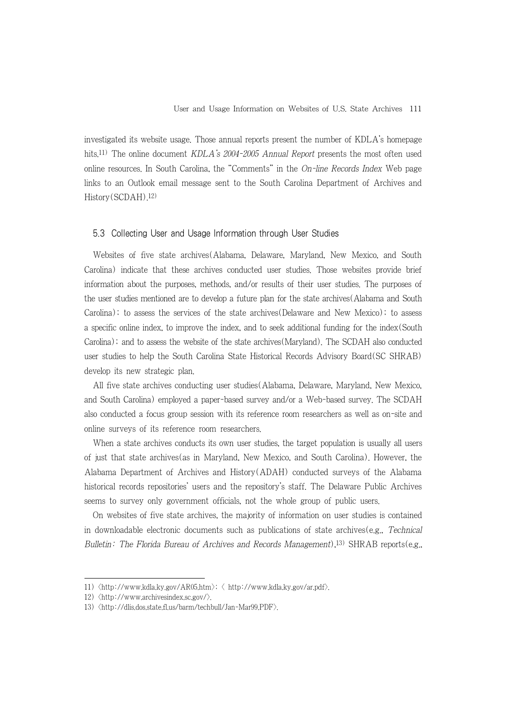investigated its website usage. Those annual reports present the number of KDLA's homepage hits.<sup>11)</sup> The online document KDLA's 2004-2005 Annual Report presents the most often used online resources. In South Carolina, the "Comments" in the  $On$ -line Records Index Web page links to an Outlook email message sent to the South Carolina Department of Archives and History(SCDAH).12)

#### 5.3 Collecting User and Usage Information through User Studies

Websites of five state archives(Alabama, Delaware, Maryland, New Mexico, and South Carolina) indicate that these archives conducted user studies. Those websites provide brief information about the purposes, methods, and/or results of their user studies. The purposes of the user studies mentioned are to develop a future plan for the state archives(Alabama and South Carolina); to assess the services of the state archives(Delaware and New Mexico); to assess a specific online index, to improve the index, and to seek additional funding for the index(South Carolina); and to assess the website of the state archives(Maryland). The SCDAH also conducted user studies to help the South Carolina State Historical Records Advisory Board(SC SHRAB) develop its new strategic plan.

All five state archives conducting user studies(Alabama, Delaware, Maryland, New Mexico, and South Carolina) employed a paper-based survey and/or a Web-based survey. The SCDAH also conducted a focus group session with its reference room researchers as well as on-site and online surveys of its reference room researchers.

When a state archives conducts its own user studies, the target population is usually all users of just that state archives(as in Maryland, New Mexico, and South Carolina). However, the Alabama Department of Archives and History(ADAH) conducted surveys of the Alabama historical records repositories' users and the repository's staff. The Delaware Public Archives seems to survey only government officials, not the whole group of public users.

On websites of five state archives, the majority of information on user studies is contained in downloadable electronic documents such as publications of state archives(e.g., Technical Bulletin: The Florida Bureau of Archives and Records Management),<sup>13)</sup> SHRAB reports(e.g.,

<sup>11) &</sup>lt;http://www.kdla.ky.gov/AR05.htm>; < http://www.kdla.ky.gov/ar.pdf>.

<sup>12) &</sup>lt;http://www.archivesindex.sc.gov/>.

<sup>13) &</sup>lt;http://dlis.dos.state.fl.us/barm/techbull/Jan-Mar99.PDF>.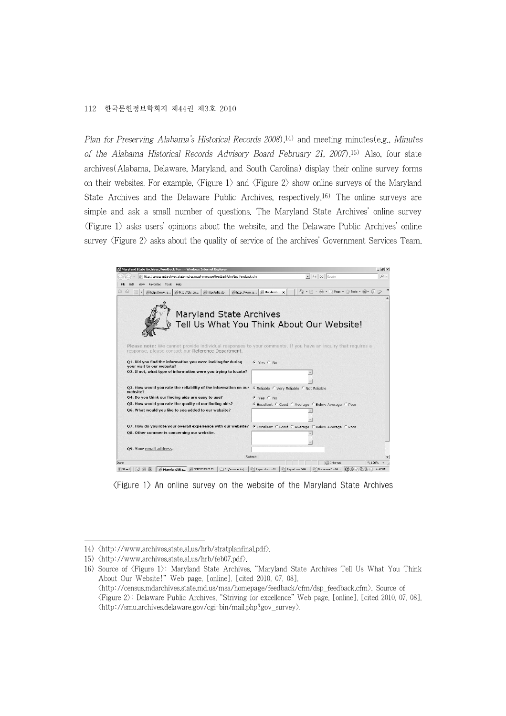Plan for Preserving Alabama's Historical Records 2008),<sup>14)</sup> and meeting minutes(e.g., Minutes of the Alabama Historical Records Advisory Board February 21, 2007).15) Also, four state archives(Alabama, Delaware, Maryland, and South Carolina) display their online survey forms on their websites. For example,  $\langle$ Figure 1 $\rangle$  and  $\langle$ Figure 2 $\rangle$  show online surveys of the Maryland State Archives and the Delaware Public Archives, respectively.16) The online surveys are simple and ask a small number of questions. The Maryland State Archives' online survey  $\langle$ Figure 1 $\rangle$  asks users' opinions about the website, and the Delaware Public Archives' online survey  $\langle$ Figure 2 $\rangle$  asks about the quality of service of the archives' Government Services Team.



<Figure 1> An online survey on the website of the Maryland State Archives

<sup>14) &</sup>lt;http://www.archives.state.al.us/hrb/stratplanfinal.pdf>.

<sup>15) &</sup>lt;http://www.archives.state.al.us/hrb/feb07.pdf>.

<sup>16)</sup> Source of <Figure 1>: Maryland State Archives. "Maryland State Archives Tell Us What You Think About Our Website!" Web page. [online]. [cited 2010. 07. 08]. <http://census.mdarchives.state.md.us/msa/homepage/feedback/cfm/dsp\_feedback.cfm>. Source of <Figure 2>: Delaware Public Archives. "Striving for excellence" Web page. [online]. [cited 2010. 07. 08].  $\langle$ http://smu.archives.delaware.gov/cgi-bin/mail.php?gov\_survey $\rangle$ .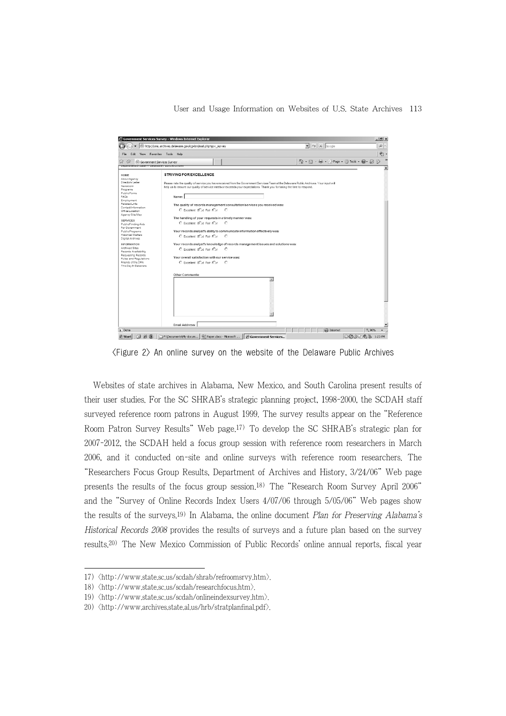User and Usage Information on Websites of U.S. State Archives 113

|                                                                                               | http://smu.archives.delaware.gov/cgi-bin/mail.php?gov_survey                              |                                                                                                                                                                                                           |                                                           |
|-----------------------------------------------------------------------------------------------|-------------------------------------------------------------------------------------------|-----------------------------------------------------------------------------------------------------------------------------------------------------------------------------------------------------------|-----------------------------------------------------------|
|                                                                                               |                                                                                           | $\blacktriangleright$ $\blacktriangleright$ $\blacktriangleright$ $\blacktriangleright$ $\blacktriangleright$ $\blacktriangleright$ $\blacktriangleright$ $\triangleleft$ $\triangleleft$ $\triangleleft$ | $\rho$ .                                                  |
| File<br>Edit View Favorites Tools Help                                                        |                                                                                           |                                                                                                                                                                                                           | 動                                                         |
| 点<br>(iii) Government Services Survey<br><u>veyarınen vi yiatezz velawaret uyilç Arçınver</u> |                                                                                           |                                                                                                                                                                                                           | $\rightarrow$<br>个 · 同 · 雨 · ☆ Page · ◎ Tools · ◎ · @ · ② |
|                                                                                               |                                                                                           |                                                                                                                                                                                                           |                                                           |
| HOME                                                                                          | <b>STRIVING FOR EXCELLENCE</b>                                                            |                                                                                                                                                                                                           |                                                           |
| About Agency<br>Director's Letter                                                             |                                                                                           |                                                                                                                                                                                                           |                                                           |
| Newsroom                                                                                      |                                                                                           | Please rate the quality of service you have received from the Government Services Team at the Delaware Public Archives. Your input will                                                                   |                                                           |
| Programs                                                                                      |                                                                                           | help us to ensure our quality of service meets or exceeds your expectations. Thank you for taking the time to respond.                                                                                    |                                                           |
| <b>PublicForms</b>                                                                            |                                                                                           |                                                                                                                                                                                                           |                                                           |
| FAOs                                                                                          | Name:                                                                                     |                                                                                                                                                                                                           |                                                           |
| Employment                                                                                    |                                                                                           |                                                                                                                                                                                                           |                                                           |
| Related Links                                                                                 | The quality of records management consultation/services you received was:                 |                                                                                                                                                                                                           |                                                           |
| Contact Information                                                                           |                                                                                           |                                                                                                                                                                                                           |                                                           |
| Office Location                                                                               | C Excellent oCud Fair ICur<br>- 0                                                         |                                                                                                                                                                                                           |                                                           |
| Agency Site Map                                                                               |                                                                                           |                                                                                                                                                                                                           |                                                           |
|                                                                                               | The handling of your requests in a timely manner was:                                     |                                                                                                                                                                                                           |                                                           |
| <b>SERVICES</b>                                                                               | C Excellent GCod Fair ICor<br>$\circ$                                                     |                                                                                                                                                                                                           |                                                           |
| PublicFinding Aids<br>For Government                                                          |                                                                                           |                                                                                                                                                                                                           |                                                           |
| Public Programs                                                                               | Your records analyst's ability to communicate information effectively was:                |                                                                                                                                                                                                           |                                                           |
| <b>Historical Markers</b>                                                                     |                                                                                           |                                                                                                                                                                                                           |                                                           |
| Digital Archives                                                                              | C Excellent oCud Fair ICor<br>- 0                                                         |                                                                                                                                                                                                           |                                                           |
|                                                                                               |                                                                                           |                                                                                                                                                                                                           |                                                           |
| <b>INFORMATION</b>                                                                            |                                                                                           | Your records analyst's knowledge of records management issues and solutions was:                                                                                                                          |                                                           |
| Archived Sites                                                                                | C Excellent GCod Fair ICor<br>$\circ$                                                     |                                                                                                                                                                                                           |                                                           |
| Records Availability                                                                          |                                                                                           |                                                                                                                                                                                                           |                                                           |
| Requesting Records                                                                            | Your overall satisfaction with our service was:                                           |                                                                                                                                                                                                           |                                                           |
| Rules and Regulations                                                                         |                                                                                           |                                                                                                                                                                                                           |                                                           |
| Friends of the DPA                                                                            | C Excellent oCad Fair (Car. C)                                                            |                                                                                                                                                                                                           |                                                           |
| This Day In Delaware                                                                          |                                                                                           |                                                                                                                                                                                                           |                                                           |
|                                                                                               |                                                                                           |                                                                                                                                                                                                           |                                                           |
|                                                                                               | Other Comments:                                                                           |                                                                                                                                                                                                           |                                                           |
|                                                                                               |                                                                                           | $\blacktriangle$                                                                                                                                                                                          |                                                           |
|                                                                                               |                                                                                           |                                                                                                                                                                                                           |                                                           |
|                                                                                               |                                                                                           |                                                                                                                                                                                                           |                                                           |
|                                                                                               |                                                                                           |                                                                                                                                                                                                           |                                                           |
|                                                                                               |                                                                                           |                                                                                                                                                                                                           |                                                           |
|                                                                                               |                                                                                           |                                                                                                                                                                                                           |                                                           |
|                                                                                               |                                                                                           |                                                                                                                                                                                                           |                                                           |
|                                                                                               |                                                                                           |                                                                                                                                                                                                           |                                                           |
|                                                                                               |                                                                                           |                                                                                                                                                                                                           |                                                           |
|                                                                                               |                                                                                           |                                                                                                                                                                                                           |                                                           |
|                                                                                               |                                                                                           |                                                                                                                                                                                                           |                                                           |
|                                                                                               |                                                                                           |                                                                                                                                                                                                           |                                                           |
|                                                                                               | Email Address:                                                                            |                                                                                                                                                                                                           |                                                           |
| Done                                                                                          |                                                                                           | <b>D</b> Internet                                                                                                                                                                                         | 电 90%                                                     |
|                                                                                               | Gistart   @ @   DE:\Documents\My docum   @ Paper.docx - Microsoft   @ Government Services |                                                                                                                                                                                                           | □ ① ◇ Jh @ 多 1:23 PM                                      |

<Figure 2> An online survey on the website of the Delaware Public Archives

Websites of state archives in Alabama, New Mexico, and South Carolina present results of their user studies. For the SC SHRAB's strategic planning project, 1998-2000, the SCDAH staff surveyed reference room patrons in August 1999. The survey results appear on the "Reference Room Patron Survey Results" Web page.17) To develop the SC SHRAB's strategic plan for 2007-2012, the SCDAH held a focus group session with reference room researchers in March 2006, and it conducted on-site and online surveys with reference room researchers. The "Researchers Focus Group Results, Department of Archives and History, 3/24/06" Web page presents the results of the focus group session.18) The "Research Room Survey April 2006" and the "Survey of Online Records Index Users 4/07/06 through 5/05/06" Web pages show the results of the surveys.<sup>19)</sup> In Alabama, the online document Plan for Preserving Alabama's Historical Records 2008 provides the results of surveys and a future plan based on the survey results.20) The New Mexico Commission of Public Records' online annual reports, fiscal year

<sup>17) &</sup>lt;http://www.state.sc.us/scdah/shrab/refroomsrvy.htm>.

<sup>18) &</sup>lt;http://www.state.sc.us/scdah/researchfocus.htm>.

<sup>19) &</sup>lt;http://www.state.sc.us/scdah/onlineindexsurvey.htm>.

<sup>20)</sup>  $\langle$ http://www.archives.state.al.us/hrb/stratplanfinal.pdf $\rangle$ .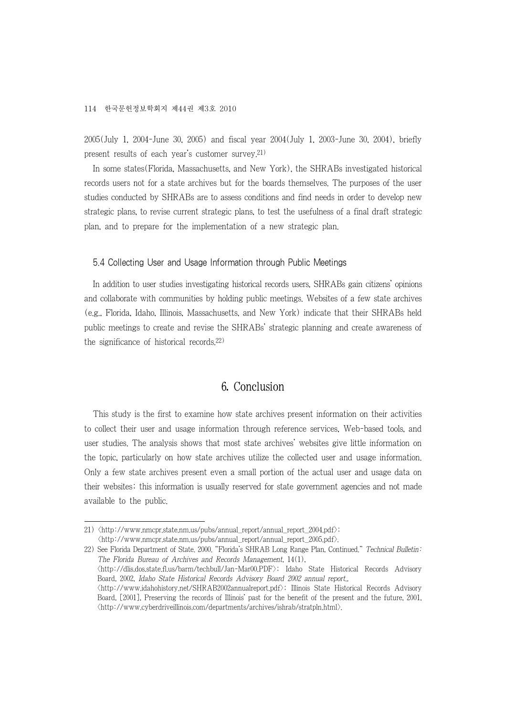2005(July 1, 2004-June 30, 2005) and fiscal year 2004(July 1, 2003-June 30, 2004), briefly present results of each year's customer survey.21)

In some states(Florida, Massachusetts, and New York), the SHRABs investigated historical records users not for a state archives but for the boards themselves. The purposes of the user studies conducted by SHRABs are to assess conditions and find needs in order to develop new strategic plans, to revise current strategic plans, to test the usefulness of a final draft strategic plan, and to prepare for the implementation of a new strategic plan.

#### 5.4 Collecting User and Usage Information through Public Meetings

In addition to user studies investigating historical records users, SHRABs gain citizens' opinions and collaborate with communities by holding public meetings. Websites of a few state archives (e.g., Florida, Idaho, Illinois, Massachusetts, and New York) indicate that their SHRABs held public meetings to create and revise the SHRABs' strategic planning and create awareness of the significance of historical records.22)

## 6. Conclusion

This study is the first to examine how state archives present information on their activities to collect their user and usage information through reference services, Web-based tools, and user studies. The analysis shows that most state archives' websites give little information on the topic, particularly on how state archives utilize the collected user and usage information. Only a few state archives present even a small portion of the actual user and usage data on their websites; this information is usually reserved for state government agencies and not made available to the public.

22) See Florida Department of State. 2000. "Florida's SHRAB Long Range Plan, Continued." Technical Bulletin: The Florida Bureau of Archives and Records Management, 14(1), <http://dlis.dos.state.fl.us/barm/techbull/Jan-Mar00.PDF>; Idaho State Historical Records Advisory Board, 2002, Idaho State Historical Records Advisory Board 2002 annual report., <http://www.idahohistory.net/SHRAB2002annualreport.pdf>; Illinois State Historical Records Advisory Board, [2001], Preserving the records of Illinois' past for the benefit of the present and the future, 2001, <http://www.cyberdriveillinois.com/departments/archives/ishrab/stratpln.html>.

<sup>21) &</sup>lt;http://www.nmcpr.state.nm.us/pubs/annual\_report/annual\_report\_2004.pdf>;  $\langle$ http://www.nmcpr.state.nm.us/pubs/annual\_report/annual\_report\_2005.pdf $\rangle$ .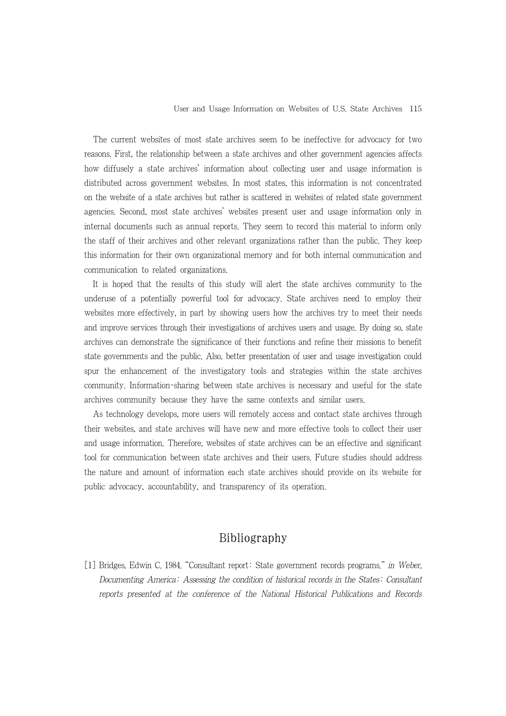#### User and Usage Information on Websites of U.S. State Archives 115

The current websites of most state archives seem to be ineffective for advocacy for two reasons. First, the relationship between a state archives and other government agencies affects how diffusely a state archives' information about collecting user and usage information is distributed across government websites. In most states, this information is not concentrated on the website of a state archives but rather is scattered in websites of related state government agencies. Second, most state archives' websites present user and usage information only in internal documents such as annual reports. They seem to record this material to inform only the staff of their archives and other relevant organizations rather than the public. They keep this information for their own organizational memory and for both internal communication and communication to related organizations.

It is hoped that the results of this study will alert the state archives community to the underuse of a potentially powerful tool for advocacy. State archives need to employ their websites more effectively, in part by showing users how the archives try to meet their needs and improve services through their investigations of archives users and usage. By doing so, state archives can demonstrate the significance of their functions and refine their missions to benefit state governments and the public. Also, better presentation of user and usage investigation could spur the enhancement of the investigatory tools and strategies within the state archives community. Information-sharing between state archives is necessary and useful for the state archives community because they have the same contexts and similar users.

As technology develops, more users will remotely access and contact state archives through their websites, and state archives will have new and more effective tools to collect their user and usage information. Therefore, websites of state archives can be an effective and significant tool for communication between state archives and their users. Future studies should address the nature and amount of information each state archives should provide on its website for public advocacy, accountability, and transparency of its operation.

## Bibliography

[1] Bridges, Edwin C. 1984. "Consultant report: State government records programs." in Weber, Documenting America: Assessing the condition of historical records in the States: Consultant reports presented at the conference of the National Historical Publications and Records